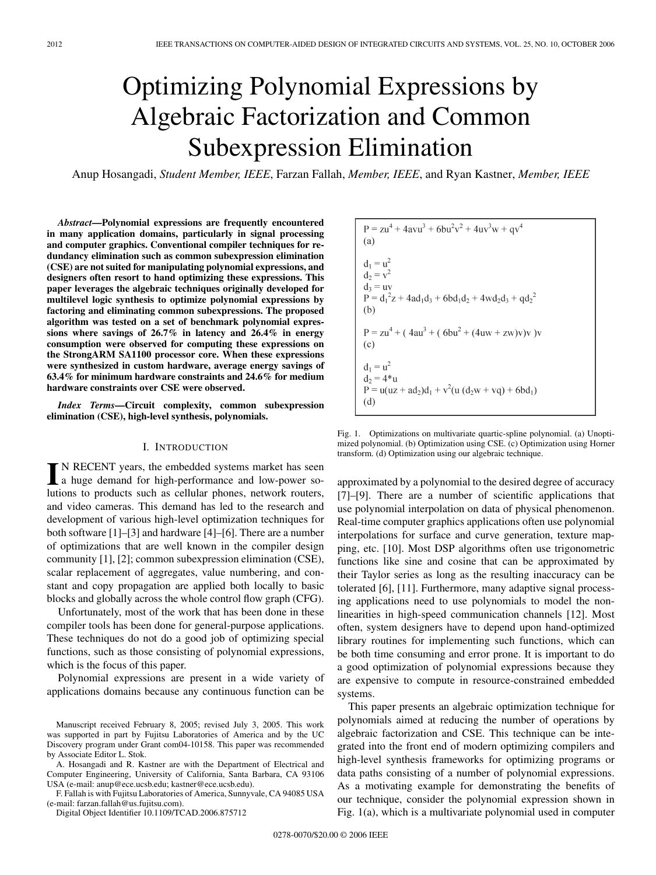# Optimizing Polynomial Expressions by Algebraic Factorization and Common Subexpression Elimination

Anup Hosangadi, *Student Member, IEEE*, Farzan Fallah, *Member, IEEE*, and Ryan Kastner, *Member, IEEE*

*Abstract***—Polynomial expressions are frequently encountered in many application domains, particularly in signal processing and computer graphics. Conventional compiler techniques for redundancy elimination such as common subexpression elimination (CSE) are not suited for manipulating polynomial expressions, and designers often resort to hand optimizing these expressions. This paper leverages the algebraic techniques originally developed for multilevel logic synthesis to optimize polynomial expressions by factoring and eliminating common subexpressions. The proposed algorithm was tested on a set of benchmark polynomial expressions where savings of 26.7% in latency and 26.4% in energy consumption were observed for computing these expressions on the StrongARM SA1100 processor core. When these expressions were synthesized in custom hardware, average energy savings of 63.4% for minimum hardware constraints and 24.6% for medium hardware constraints over CSE were observed.**

*Index Terms***—Circuit complexity, common subexpression elimination (CSE), high-level synthesis, polynomials.**

#### I. INTRODUCTION

IN RECENT years, the embedded systems market has seen<br>a huge demand for high-performance and low-power solutions to products such as cellular phones, network routers, and video cameras. This demand has led to the research and development of various high-level optimization techniques for both software [1]–[3] and hardware [4]–[6]. There are a number of optimizations that are well known in the compiler design community [1], [2]; common subexpression elimination (CSE), scalar replacement of aggregates, value numbering, and constant and copy propagation are applied both locally to basic blocks and globally across the whole control flow graph (CFG).

Unfortunately, most of the work that has been done in these compiler tools has been done for general-purpose applications. These techniques do not do a good job of optimizing special functions, such as those consisting of polynomial expressions, which is the focus of this paper.

Polynomial expressions are present in a wide variety of applications domains because any continuous function can be

A. Hosangadi and R. Kastner are with the Department of Electrical and Computer Engineering, University of California, Santa Barbara, CA 93106 USA (e-mail: anup@ece.ucsb.edu; kastner@ece.ucsb.edu).

F. Fallah is with Fujitsu Laboratories of America, Sunnyvale, CA 94085 USA (e-mail: farzan.fallah@us.fujitsu.com).

Digital Object Identifier 10.1109/TCAD.2006.875712

$$
P = zu^{4} + 4avu^{3} + 6bu^{2}v^{2} + 4uv^{3}w + qv^{4}
$$
\n(a)  
\n
$$
d_{1} = u^{2}
$$
\n
$$
d_{2} = v^{2}
$$
\n
$$
d_{3} = uv
$$
\n
$$
P = d_{1}^{2}z + 4ad_{1}d_{3} + 6bd_{1}d_{2} + 4wd_{2}d_{3} + qd_{2}^{2}
$$
\n(b)  
\n
$$
P = zu^{4} + (4au^{3} + (6bu^{2} + (4uw + zw)v)v)v
$$
\n(c)  
\n
$$
d_{1} = u^{2}
$$
\n
$$
d_{2} = 4*u
$$
\n
$$
P = u(uz + ad_{2})d_{1} + v^{2}(u (d_{2}w + vq) + 6bd_{1})
$$
\n(d)

Fig. 1. Optimizations on multivariate quartic-spline polynomial. (a) Unoptimized polynomial. (b) Optimization using CSE. (c) Optimization using Horner transform. (d) Optimization using our algebraic technique.

approximated by a polynomial to the desired degree of accuracy [7]–[9]. There are a number of scientific applications that use polynomial interpolation on data of physical phenomenon. Real-time computer graphics applications often use polynomial interpolations for surface and curve generation, texture mapping, etc. [10]. Most DSP algorithms often use trigonometric functions like sine and cosine that can be approximated by their Taylor series as long as the resulting inaccuracy can be tolerated [6], [11]. Furthermore, many adaptive signal processing applications need to use polynomials to model the nonlinearities in high-speed communication channels [12]. Most often, system designers have to depend upon hand-optimized library routines for implementing such functions, which can be both time consuming and error prone. It is important to do a good optimization of polynomial expressions because they are expensive to compute in resource-constrained embedded systems.

This paper presents an algebraic optimization technique for polynomials aimed at reducing the number of operations by algebraic factorization and CSE. This technique can be integrated into the front end of modern optimizing compilers and high-level synthesis frameworks for optimizing programs or data paths consisting of a number of polynomial expressions. As a motivating example for demonstrating the benefits of our technique, consider the polynomial expression shown in Fig. 1(a), which is a multivariate polynomial used in computer

Manuscript received February 8, 2005; revised July 3, 2005. This work was supported in part by Fujitsu Laboratories of America and by the UC Discovery program under Grant com04-10158. This paper was recommended by Associate Editor L. Stok.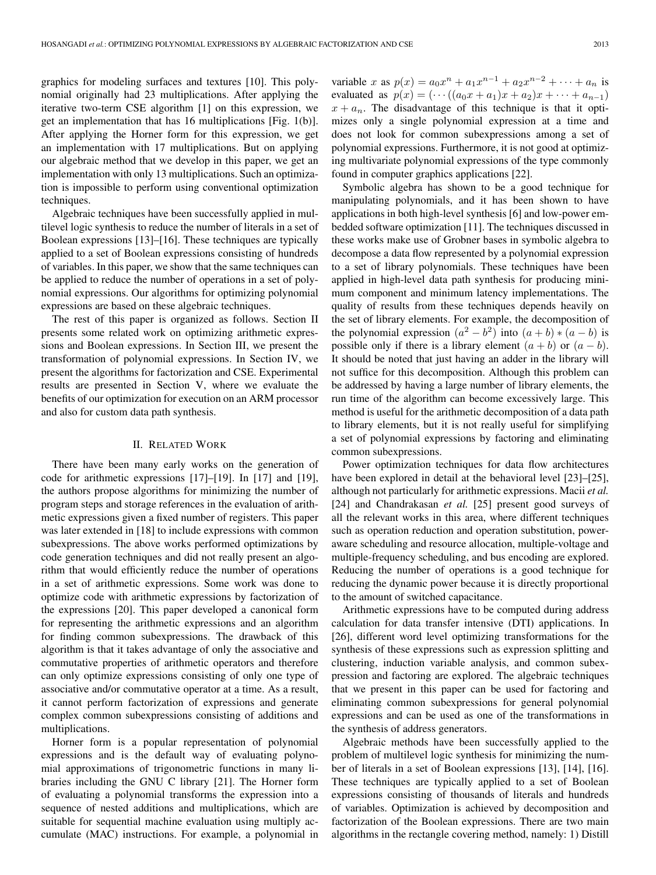graphics for modeling surfaces and textures [10]. This polynomial originally had 23 multiplications. After applying the iterative two-term CSE algorithm [1] on this expression, we get an implementation that has 16 multiplications [Fig. 1(b)]. After applying the Horner form for this expression, we get an implementation with 17 multiplications. But on applying our algebraic method that we develop in this paper, we get an implementation with only 13 multiplications. Such an optimization is impossible to perform using conventional optimization techniques.

Algebraic techniques have been successfully applied in multilevel logic synthesis to reduce the number of literals in a set of Boolean expressions [13]–[16]. These techniques are typically applied to a set of Boolean expressions consisting of hundreds of variables. In this paper, we show that the same techniques can be applied to reduce the number of operations in a set of polynomial expressions. Our algorithms for optimizing polynomial expressions are based on these algebraic techniques.

The rest of this paper is organized as follows. Section II presents some related work on optimizing arithmetic expressions and Boolean expressions. In Section III, we present the transformation of polynomial expressions. In Section IV, we present the algorithms for factorization and CSE. Experimental results are presented in Section V, where we evaluate the benefits of our optimization for execution on an ARM processor and also for custom data path synthesis.

#### II. RELATED WORK

There have been many early works on the generation of code for arithmetic expressions [17]–[19]. In [17] and [19], the authors propose algorithms for minimizing the number of program steps and storage references in the evaluation of arithmetic expressions given a fixed number of registers. This paper was later extended in [18] to include expressions with common subexpressions. The above works performed optimizations by code generation techniques and did not really present an algorithm that would efficiently reduce the number of operations in a set of arithmetic expressions. Some work was done to optimize code with arithmetic expressions by factorization of the expressions [20]. This paper developed a canonical form for representing the arithmetic expressions and an algorithm for finding common subexpressions. The drawback of this algorithm is that it takes advantage of only the associative and commutative properties of arithmetic operators and therefore can only optimize expressions consisting of only one type of associative and/or commutative operator at a time. As a result, it cannot perform factorization of expressions and generate complex common subexpressions consisting of additions and multiplications.

Horner form is a popular representation of polynomial expressions and is the default way of evaluating polynomial approximations of trigonometric functions in many libraries including the GNU C library [21]. The Horner form of evaluating a polynomial transforms the expression into a sequence of nested additions and multiplications, which are suitable for sequential machine evaluation using multiply accumulate (MAC) instructions. For example, a polynomial in

variable x as  $p(x) = a_0x^n + a_1x^{n-1} + a_2x^{n-2} + \cdots + a_n$  is evaluated as  $p(x) = (···((a_0x + a_1)x + a_2)x + ··· + a_{n-1})$  $x + a_n$ . The disadvantage of this technique is that it optimizes only a single polynomial expression at a time and does not look for common subexpressions among a set of polynomial expressions. Furthermore, it is not good at optimizing multivariate polynomial expressions of the type commonly found in computer graphics applications [22].

Symbolic algebra has shown to be a good technique for manipulating polynomials, and it has been shown to have applications in both high-level synthesis [6] and low-power embedded software optimization [11]. The techniques discussed in these works make use of Grobner bases in symbolic algebra to decompose a data flow represented by a polynomial expression to a set of library polynomials. These techniques have been applied in high-level data path synthesis for producing minimum component and minimum latency implementations. The quality of results from these techniques depends heavily on the set of library elements. For example, the decomposition of the polynomial expression  $(a^2 - b^2)$  into  $(a + b) * (a - b)$  is possible only if there is a library element  $(a + b)$  or  $(a - b)$ . It should be noted that just having an adder in the library will not suffice for this decomposition. Although this problem can be addressed by having a large number of library elements, the run time of the algorithm can become excessively large. This method is useful for the arithmetic decomposition of a data path to library elements, but it is not really useful for simplifying a set of polynomial expressions by factoring and eliminating common subexpressions.

Power optimization techniques for data flow architectures have been explored in detail at the behavioral level [23]–[25], although not particularly for arithmetic expressions. Macii *et al.* [24] and Chandrakasan *et al.* [25] present good surveys of all the relevant works in this area, where different techniques such as operation reduction and operation substitution, poweraware scheduling and resource allocation, multiple-voltage and multiple-frequency scheduling, and bus encoding are explored. Reducing the number of operations is a good technique for reducing the dynamic power because it is directly proportional to the amount of switched capacitance.

Arithmetic expressions have to be computed during address calculation for data transfer intensive (DTI) applications. In [26], different word level optimizing transformations for the synthesis of these expressions such as expression splitting and clustering, induction variable analysis, and common subexpression and factoring are explored. The algebraic techniques that we present in this paper can be used for factoring and eliminating common subexpressions for general polynomial expressions and can be used as one of the transformations in the synthesis of address generators.

Algebraic methods have been successfully applied to the problem of multilevel logic synthesis for minimizing the number of literals in a set of Boolean expressions [13], [14], [16]. These techniques are typically applied to a set of Boolean expressions consisting of thousands of literals and hundreds of variables. Optimization is achieved by decomposition and factorization of the Boolean expressions. There are two main algorithms in the rectangle covering method, namely: 1) Distill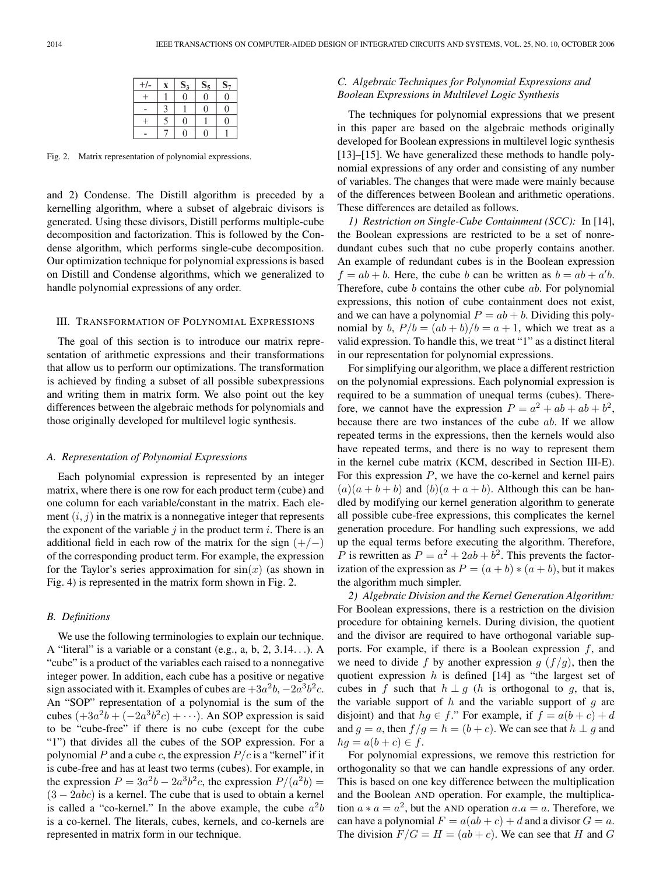| $+/-$ | $\mathbf{x}$ | $S_3$ | $S_5$ | $S_7$ |
|-------|--------------|-------|-------|-------|
|       |              |       |       |       |
|       |              |       |       |       |
|       |              |       |       |       |
|       |              |       |       |       |

Fig. 2. Matrix representation of polynomial expressions.

and 2) Condense. The Distill algorithm is preceded by a kernelling algorithm, where a subset of algebraic divisors is generated. Using these divisors, Distill performs multiple-cube decomposition and factorization. This is followed by the Condense algorithm, which performs single-cube decomposition. Our optimization technique for polynomial expressions is based on Distill and Condense algorithms, which we generalized to handle polynomial expressions of any order.

## III. TRANSFORMATION OF POLYNOMIAL EXPRESSIONS

The goal of this section is to introduce our matrix representation of arithmetic expressions and their transformations that allow us to perform our optimizations. The transformation is achieved by finding a subset of all possible subexpressions and writing them in matrix form. We also point out the key differences between the algebraic methods for polynomials and those originally developed for multilevel logic synthesis.

#### *A. Representation of Polynomial Expressions*

Each polynomial expression is represented by an integer matrix, where there is one row for each product term (cube) and one column for each variable/constant in the matrix. Each element  $(i, j)$  in the matrix is a nonnegative integer that represents the exponent of the variable  $j$  in the product term  $i$ . There is an additional field in each row of the matrix for the sign  $(+/-)$ of the corresponding product term. For example, the expression for the Taylor's series approximation for  $sin(x)$  (as shown in Fig. 4) is represented in the matrix form shown in Fig. 2.

#### *B. Definitions*

We use the following terminologies to explain our technique. A "literal" is a variable or a constant (e.g., a, b, 2, 3.14...). A "cube" is a product of the variables each raised to a nonnegative integer power. In addition, each cube has a positive or negative sign associated with it. Examples of cubes are  $+3a^2b$ ,  $-2a^3b^2c$ . An "SOP" representation of a polynomial is the sum of the cubes  $(+3a^2b + (-2a^3b^2c) + \cdots)$ . An SOP expression is said to be "cube-free" if there is no cube (except for the cube "1") that divides all the cubes of the SOP expression. For a polynomial P and a cube c, the expression  $P/c$  is a "kernel" if it is cube-free and has at least two terms (cubes). For example, in the expression  $P = 3a^2b - 2a^3b^2c$ , the expression  $P/(a^2b) =$  $(3 - 2abc)$  is a kernel. The cube that is used to obtain a kernel is called a "co-kernel." In the above example, the cube  $a<sup>2</sup>b$ is a co-kernel. The literals, cubes, kernels, and co-kernels are represented in matrix form in our technique.

## *C. AlgebraicTechniques for Polynomial Expressions and* **Boolean Expressions in Multilevel Logic Synthesis**

The techniques for polynomial expressions that we present in this paper are based on the algebraic methods originally developed for Boolean expressions in multilevel logic synthesis [13]–[15]. We have generalized these methods to handle polynomial expressions of any order and consisting of any number of variables. The changes that were made were mainly because of the differences between Boolean and arithmetic operations. These differences are detailed as follows.

*1) Restriction on Single-Cube Containment (SCC):* In [14], the Boolean expressions are restricted to be a set of nonredundant cubes such that no cube properly contains another. An example of redundant cubes is in the Boolean expression  $f = ab + b$ . Here, the cube b can be written as  $b = ab + a'b$ . Therefore, cube b contains the other cube ab. For polynomial expressions, this notion of cube containment does not exist, and we can have a polynomial  $P = ab + b$ . Dividing this polynomial by b,  $P/b = (ab + b)/b = a + 1$ , which we treat as a valid expression. To handle this, we treat "1" as a distinct literal in our representation for polynomial expressions.

For simplifying our algorithm, we place a different restriction on the polynomial expressions. Each polynomial expression is required to be a summation of unequal terms (cubes). Therefore, we cannot have the expression  $P = a^2 + ab + ab + b^2$ , because there are two instances of the cube ab. If we allow repeated terms in the expressions, then the kernels would also have repeated terms, and there is no way to represent them in the kernel cube matrix (KCM, described in Section III-E). For this expression  $P$ , we have the co-kernel and kernel pairs  $(a)(a + b + b)$  and  $(b)(a + a + b)$ . Although this can be handled by modifying our kernel generation algorithm to generate all possible cube-free expressions, this complicates the kernel generation procedure. For handling such expressions, we add up the equal terms before executing the algorithm. Therefore, P is rewritten as  $P = a^2 + 2ab + b^2$ . This prevents the factorization of the expression as  $P = (a + b) * (a + b)$ , but it makes the algorithm much simpler.

*2) AlgebraicDivision and the Kernel Generation Algorithm:* For Boolean expressions, there is a restriction on the division procedure for obtaining kernels. During division, the quotient and the divisor are required to have orthogonal variable supports. For example, if there is a Boolean expression  $f$ , and we need to divide f by another expression  $g(f/g)$ , then the quotient expression  $h$  is defined [14] as "the largest set of cubes in f such that  $h \perp g$  (h is orthogonal to g, that is, the variable support of  $h$  and the variable support of  $g$  are disjoint) and that  $hg \in f$ ." For example, if  $f = a(b+c) + d$ and  $g = a$ , then  $f/g = h = (b + c)$ . We can see that  $h \perp g$  and  $hg = a(b + c) \in f$ .

For polynomial expressions, we remove this restriction for orthogonality so that we can handle expressions of any order. This is based on one key difference between the multiplication and the Boolean AND operation. For example, the multiplication  $a * a = a^2$ , but the AND operation  $a.a = a$ . Therefore, we can have a polynomial  $F = a(ab + c) + d$  and a divisor  $G = a$ . The division  $F/G = H = (ab + c)$ . We can see that H and G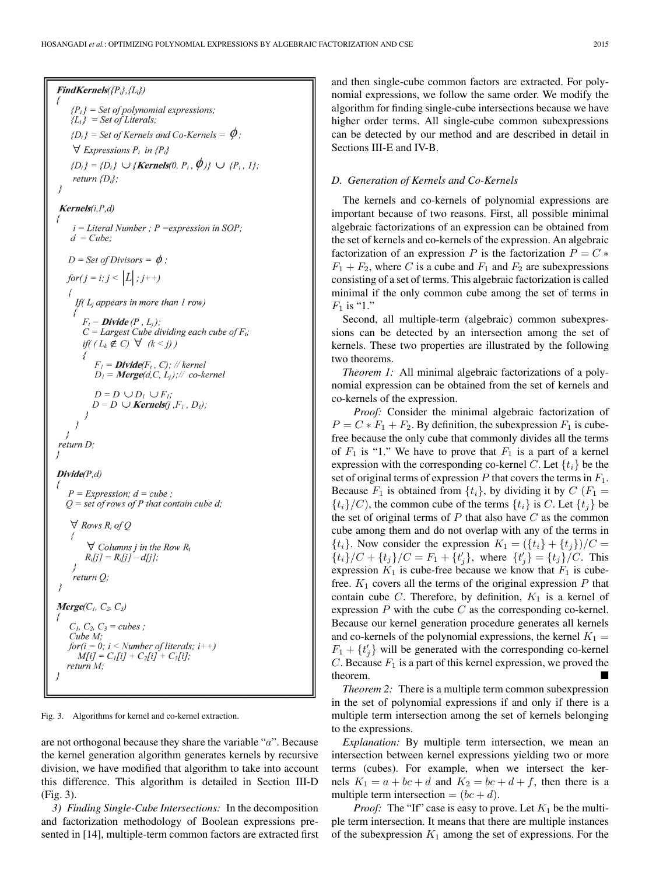$FindKernels(\{P_i\},\{L_i\})$  ${P_i}$  = Set of polynomial expressions;  $\{L_i\}$  = Set of Literals;  ${D_i}$  = Set of Kernels and Co-Kernels =  $\phi$ ;  $\forall$  Expressions P<sub>i</sub> in {P<sub>i</sub>}  ${D_i} = {D_i} \cup {Kernels(0, P_i, \phi)} \cup {P_i, 1};$ return  $\{D_i\}$ ; j.  $Kernels(i, P, d)$  $i = Literal Number$ ;  $P$  = expression in SOP;  $d = Cube;$  $D = Set of Divisors = \phi$ ;  $for (j = i; j < |L|; j++)$ If( $L_j$  appears in more than 1 row)  $F_t = \text{Divide}(P, L_j);$  $\vec{C}$  = Largest Cube dividing each cube of  $F_t$ ; if(  $(L_k \notin C)$   $\forall$   $(k < j)$  )  $F_l = \text{Divide}(F_t, C)$ ; // kernel  $D_i = \text{Merge}(d, C, L_i); \text{// co-kernel}$  $D = D \cup D_1 \cup F_1$ ;  $D = D \cup \textit{Kernels}(j, F_1, D_1);$ return D;  $\textit{Divide}(P, d)$  $P = Expression$ ;  $d = cube$ ;  $Q = set of rows of P that contain cube d;$  $\forall$  Rows R<sub>i</sub> of O  $\forall$  Columns j in the Row  $R_i$  $R_i[j] = R_i[j] - d[j];$  $return Q;$ j Merge $(C_1, C_2, C_3)$  $C_1, C_2, C_3 = cubes;$ Cube  $M$ :  $for(i = 0; i < Number of literals; i++)$  $M[i] = C_1[i] + C_2[i] + C_3[i];$ return M:

Fig. 3. Algorithms for kernel and co-kernel extraction.

are not orthogonal because they share the variable "a". Because the kernel generation algorithm generates kernels by recursive division, we have modified that algorithm to take into account this difference. This algorithm is detailed in Section III-D (Fig. 3).

*3) Finding Single-Cube Intersections:* In the decomposition and factorization methodology of Boolean expressions presented in [14], multiple-term common factors are extracted first

and then single-cube common factors are extracted. For polynomial expressions, we follow the same order. We modify the algorithm for finding single-cube intersections because we have higher order terms. All single-cube common subexpressions can be detected by our method and are described in detail in Sections III-E and IV-B.

### *D. Generation of Kernels and Co-Kernels*

The kernels and co-kernels of polynomial expressions are important because of two reasons. First, all possible minimal algebraic factorizations of an expression can be obtained from the set of kernels and co-kernels of the expression. An algebraic factorization of an expression P is the factorization  $P = C *$  $F_1 + F_2$ , where C is a cube and  $F_1$  and  $F_2$  are subexpressions consisting of a set of terms. This algebraic factorization is called minimal if the only common cube among the set of terms in  $F_1$  is "1."

Second, all multiple-term (algebraic) common subexpressions can be detected by an intersection among the set of kernels. These two properties are illustrated by the following two theorems.

*Theorem 1:* All minimal algebraic factorizations of a polynomial expression can be obtained from the set of kernels and co-kernels of the expression.

*Proof:* Consider the minimal algebraic factorization of  $P = C * F_1 + F_2$ . By definition, the subexpression  $F_1$  is cubefree because the only cube that commonly divides all the terms of  $F_1$  is "1." We have to prove that  $F_1$  is a part of a kernel expression with the corresponding co-kernel C. Let  $\{t_i\}$  be the set of original terms of expression  $P$  that covers the terms in  $F_1$ . Because  $F_1$  is obtained from  $\{t_i\}$ , by dividing it by  $C(F_1)$  ${t_i}/C$ , the common cube of the terms  ${t_i}$  is C. Let  ${t_j}$  be the set of original terms of  $P$  that also have  $C$  as the common cube among them and do not overlap with any of the terms in  $\{t_i\}$ . Now consider the expression  $K_1 = (\{t_i\} + \{t_j\})/C$  $\{t_i\}/C + \{t_j\}/C = F_1 + \{t'_j\}$ , where  $\{t'_j\} = \{t_j\}/C$ . This expression  $K_1$  is cube-free because we know that  $F_1$  is cubefree.  $K_1$  covers all the terms of the original expression  $P$  that contain cube C. Therefore, by definition,  $K_1$  is a kernel of expression  $P$  with the cube  $C$  as the corresponding co-kernel. Because our kernel generation procedure generates all kernels and co-kernels of the polynomial expressions, the kernel  $K_1 =$  $F_1 + \{t'_j\}$  will be generated with the corresponding co-kernel C. Because  $F_1$  is a part of this kernel expression, we proved the theorem.

*Theorem 2:* There is a multiple term common subexpression in the set of polynomial expressions if and only if there is a multiple term intersection among the set of kernels belonging to the expressions.

*Explanation:* By multiple term intersection, we mean an intersection between kernel expressions yielding two or more terms (cubes). For example, when we intersect the kernels  $K_1 = a + bc + d$  and  $K_2 = bc + d + f$ , then there is a multiple term intersection =  $(bc + d)$ .

*Proof:* The "If" case is easy to prove. Let  $K_1$  be the multiple term intersection. It means that there are multiple instances of the subexpression  $K_1$  among the set of expressions. For the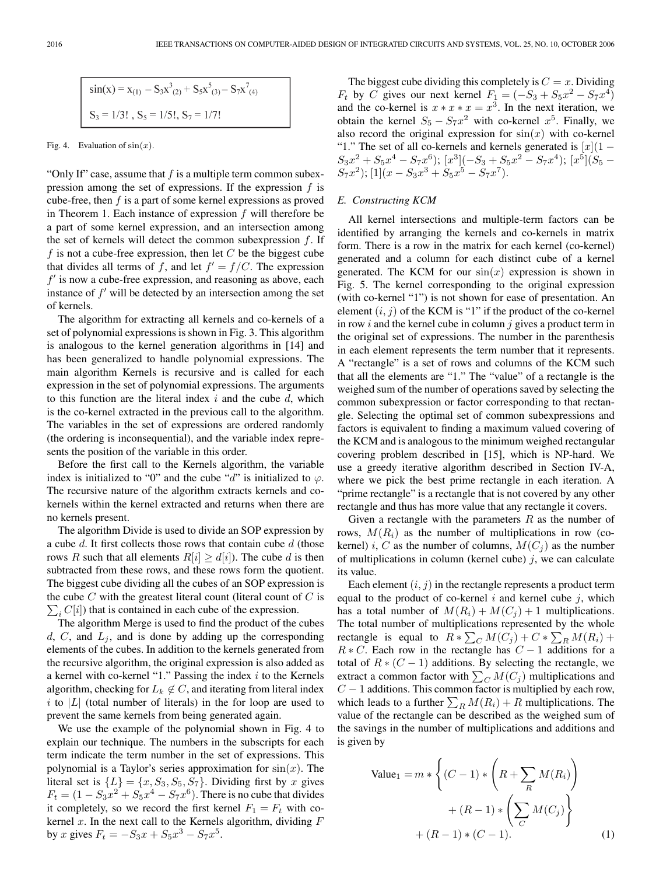$$
\begin{vmatrix}\nsin(x) = x_{(1)} - S_3 x^3_{(2)} + S_5 x^5_{(3)} - S_7 x^7_{(4)} \\
S_3 = 1/3!, \ S_5 = 1/5!, \ S_7 = 1/7!\n\end{vmatrix}
$$

Fig. 4. Evaluation of  $sin(x)$ .

"Only If" case, assume that  $f$  is a multiple term common subexpression among the set of expressions. If the expression  $f$  is cube-free, then  $f$  is a part of some kernel expressions as proved in Theorem 1. Each instance of expression  $f$  will therefore be a part of some kernel expression, and an intersection among the set of kernels will detect the common subexpression  $f$ . If f is not a cube-free expression, then let  $C$  be the biggest cube that divides all terms of f, and let  $f' = f/C$ . The expression  $f'$  is now a cube-free expression, and reasoning as above, each instance of  $f'$  will be detected by an intersection among the set of kernels.

The algorithm for extracting all kernels and co-kernels of a set of polynomial expressions is shown in Fig. 3. This algorithm is analogous to the kernel generation algorithms in [14] and has been generalized to handle polynomial expressions. The main algorithm Kernels is recursive and is called for each expression in the set of polynomial expressions. The arguments to this function are the literal index  $i$  and the cube  $d$ , which is the co-kernel extracted in the previous call to the algorithm. The variables in the set of expressions are ordered randomly (the ordering is inconsequential), and the variable index represents the position of the variable in this order.

Before the first call to the Kernels algorithm, the variable index is initialized to "0" and the cube "d" is initialized to  $\varphi$ . The recursive nature of the algorithm extracts kernels and cokernels within the kernel extracted and returns when there are no kernels present.

The algorithm Divide is used to divide an SOP expression by a cube  $d$ . It first collects those rows that contain cube  $d$  (those rows R such that all elements  $R[i] \ge d[i]$ . The cube d is then subtracted from these rows, and these rows form the quotient. The biggest cube dividing all the cubes of an SOP expression is the cube  $C$  with the greatest literal count (literal count of  $C$  is  $\sum_i C[i]$ ) that is contained in each cube of the expression.

The algorithm Merge is used to find the product of the cubes  $d, C$ , and  $L<sub>j</sub>$ , and is done by adding up the corresponding elements of the cubes. In addition to the kernels generated from the recursive algorithm, the original expression is also added as a kernel with co-kernel "1." Passing the index  $i$  to the Kernels algorithm, checking for  $L_k \notin C$ , and iterating from literal index i to |L| (total number of literals) in the for loop are used to prevent the same kernels from being generated again.

We use the example of the polynomial shown in Fig. 4 to explain our technique. The numbers in the subscripts for each term indicate the term number in the set of expressions. This polynomial is a Taylor's series approximation for  $sin(x)$ . The literal set is  $\{L\} = \{x, S_3, S_5, S_7\}$ . Dividing first by x gives  $F_t = (1 - S_3x^2 + S_5x^4 - S_7x^6)$ . There is no cube that divides it completely, so we record the first kernel  $F_1 = F_t$  with cokernel  $x$ . In the next call to the Kernels algorithm, dividing  $F$ by x gives  $F_t = -S_3x + S_5x^3 - S_7x^5$ .

The biggest cube dividing this completely is  $C = x$ . Dividing  $F_t$  by C gives our next kernel  $F_1 = (-S_3 + S_5x^2 - S_7x^4)$ and the co-kernel is  $x * x * x = x^3$ . In the next iteration, we obtain the kernel  $S_5 - S_7x^2$  with co-kernel  $x^5$ . Finally, we also record the original expression for  $sin(x)$  with co-kernel "1." The set of all co-kernels and kernels generated is  $[x](1 S_3x^2 + S_5x^4 - S_7x^6);$   $[x^3](-S_3 + S_5x^2 - S_7x^4);$   $[x^5](S_5 S_7x^2$ ; [1]( $x - S_3x^3 + S_5x^5 - S_7x^7$ ).

#### *E. Constructing KCM*

All kernel intersections and multiple-term factors can be identified by arranging the kernels and co-kernels in matrix form. There is a row in the matrix for each kernel (co-kernel) generated and a column for each distinct cube of a kernel generated. The KCM for our  $sin(x)$  expression is shown in Fig. 5. The kernel corresponding to the original expression (with co-kernel "1") is not shown for ease of presentation. An element  $(i, j)$  of the KCM is "1" if the product of the co-kernel in row i and the kernel cube in column  $i$  gives a product term in the original set of expressions. The number in the parenthesis in each element represents the term number that it represents. A "rectangle" is a set of rows and columns of the KCM such that all the elements are "1." The "value" of a rectangle is the weighed sum of the number of operations saved by selecting the common subexpression or factor corresponding to that rectangle. Selecting the optimal set of common subexpressions and factors is equivalent to finding a maximum valued covering of the KCM and is analogous to the minimum weighed rectangular covering problem described in [15], which is NP-hard. We use a greedy iterative algorithm described in Section IV-A, where we pick the best prime rectangle in each iteration. A "prime rectangle" is a rectangle that is not covered by any other rectangle and thus has more value that any rectangle it covers.

Given a rectangle with the parameters  $R$  as the number of rows,  $M(R_i)$  as the number of multiplications in row (cokernel) i, C as the number of columns,  $M(C_i)$  as the number of multiplications in column (kernel cube)  $j$ , we can calculate its value.

Each element  $(i, j)$  in the rectangle represents a product term equal to the product of co-kernel i and kernel cube j, which has a total number of  $M(R_i) + M(C_j) + 1$  multiplications. The total number of multiplications represented by the whole rectangle is equal to  $R * \sum_{C} M(C_j) + C * \sum_{R} M(R_i) + C$  $R * C$ . Each row in the rectangle has  $C - 1$  additions for a total of  $R * (C - 1)$  additions. By selecting the rectangle, we extract a common factor with  $\sum_{C} M(C_j)$  multiplications and  $C - 1$  additions. This common factor is multiplied by each row, which leads to a further  $\sum_{R} M(R_i) + R$  multiplications. The value of the rectangle can be described as the weighed sum of the savings in the number of multiplications and additions and is given by

Value<sub>1</sub> = 
$$
m * \left\{ (C - 1) * \left( R + \sum_{R} M(R_i) \right) + (R - 1) * \left( \sum_{C} M(C_j) \right) + (R - 1) * (C - 1).
$$
 (1)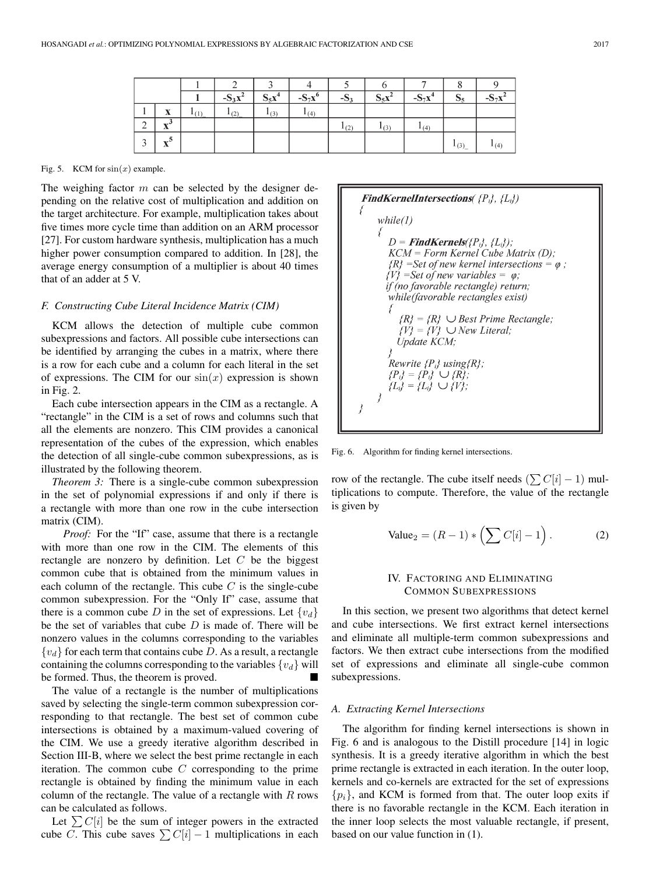|        |                   | $\sim$<br>-эзл | 55 <sub>A</sub> | $\mathbf C$<br>$-57X$ | - 33 | 5A | - 1<br>-97A | - 35 | . .  |
|--------|-------------------|----------------|-----------------|-----------------------|------|----|-------------|------|------|
|        | $\mathbf{w}$<br>A | (2)            | (3)             | 1(4)                  |      |    |             |      |      |
| ⌒<br>∸ | ≖                 |                |                 |                       | (2)  |    | (4)         |      |      |
| ◠<br>J | ▴                 |                |                 |                       |      |    |             | 1(3) | 1(4) |

Fig. 5. KCM for  $sin(x)$  example.

The weighing factor  $m$  can be selected by the designer depending on the relative cost of multiplication and addition on the target architecture. For example, multiplication takes about five times more cycle time than addition on an ARM processor [27]. For custom hardware synthesis, multiplication has a much higher power consumption compared to addition. In [28], the average energy consumption of a multiplier is about 40 times that of an adder at 5 V.

#### *F. Constructing Cube Literal Incidence Matrix (CIM)*

KCM allows the detection of multiple cube common subexpressions and factors. All possible cube intersections can be identified by arranging the cubes in a matrix, where there is a row for each cube and a column for each literal in the set of expressions. The CIM for our  $sin(x)$  expression is shown in Fig. 2.

Each cube intersection appears in the CIM as a rectangle. A "rectangle" in the CIM is a set of rows and columns such that all the elements are nonzero. This CIM provides a canonical representation of the cubes of the expression, which enables the detection of all single-cube common subexpressions, as is illustrated by the following theorem.

*Theorem 3:* There is a single-cube common subexpression in the set of polynomial expressions if and only if there is a rectangle with more than one row in the cube intersection matrix (CIM).

*Proof:* For the "If" case, assume that there is a rectangle with more than one row in the CIM. The elements of this rectangle are nonzero by definition. Let  $C$  be the biggest common cube that is obtained from the minimum values in each column of the rectangle. This cube  $C$  is the single-cube common subexpression. For the "Only If" case, assume that there is a common cube D in the set of expressions. Let  $\{v_d\}$ be the set of variables that cube  $D$  is made of. There will be nonzero values in the columns corresponding to the variables  ${v_d}$  for each term that contains cube D. As a result, a rectangle containing the columns corresponding to the variables  $\{v_d\}$  will be formed. Thus, the theorem is proved.

The value of a rectangle is the number of multiplications saved by selecting the single-term common subexpression corresponding to that rectangle. The best set of common cube intersections is obtained by a maximum-valued covering of the CIM. We use a greedy iterative algorithm described in Section III-B, where we select the best prime rectangle in each iteration. The common cube  $C$  corresponding to the prime rectangle is obtained by finding the minimum value in each column of the rectangle. The value of a rectangle with  $R$  rows can be calculated as follows.

Let  $\sum C[i]$  be the sum of integer powers in the extracted cube C. This cube saves  $\sum C[i] - 1$  multiplications in each



Fig. 6. Algorithm for finding kernel intersections.

row of the rectangle. The cube itself needs  $(\sum C[i] - 1)$  multiplications to compute. Therefore, the value of the rectangle is given by

Value<sub>2</sub> = 
$$
(R - 1) * (\sum C[i] - 1)
$$
. (2)

## IV. FACTORING AND ELIMINATING COMMON SUBEXPRESSIONS

In this section, we present two algorithms that detect kernel and cube intersections. We first extract kernel intersections and eliminate all multiple-term common subexpressions and factors. We then extract cube intersections from the modified set of expressions and eliminate all single-cube common subexpressions.

#### *A. Extracting Kernel Intersections*

The algorithm for finding kernel intersections is shown in Fig. 6 and is analogous to the Distill procedure [14] in logic synthesis. It is a greedy iterative algorithm in which the best prime rectangle is extracted in each iteration. In the outer loop, kernels and co-kernels are extracted for the set of expressions  $\{p_i\}$ , and KCM is formed from that. The outer loop exits if there is no favorable rectangle in the KCM. Each iteration in the inner loop selects the most valuable rectangle, if present, based on our value function in (1).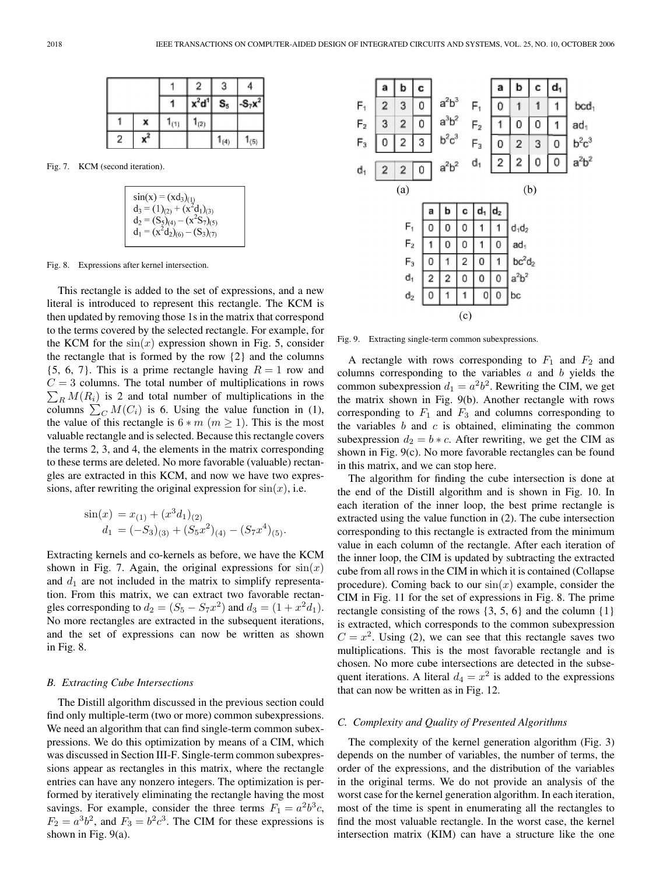|   |    |     | 2    | з     |           |
|---|----|-----|------|-------|-----------|
|   |    |     | ď    | $S_5$ | s.,       |
|   | ×  | (1) | 1(2) |       |           |
| 2 | x' |     |      | 1(4)  | $1_{(5)}$ |

Fig. 7. KCM (second iteration).

| $sin(x) = (xd_3)_{(1)}$                                                 |  |
|-------------------------------------------------------------------------|--|
| $d_3 = (1)_{(2)} + (x^2 d_1)_{(3)}$                                     |  |
| $d_2 = (S_5)_{(4)} - (x^2S_7)_{(5)}$                                    |  |
| $\overrightarrow{d_1} = (x^2 \overrightarrow{d_2})_{(6)} - (S_3)_{(7)}$ |  |

Fig. 8. Expressions after kernel intersection.

This rectangle is added to the set of expressions, and a new literal is introduced to represent this rectangle. The KCM is then updated by removing those 1s in the matrix that correspond to the terms covered by the selected rectangle. For example, for the KCM for the  $sin(x)$  expression shown in Fig. 5, consider the rectangle that is formed by the row {2} and the columns  ${5, 6, 7}$ . This is a prime rectangle having  $R = 1$  row and  $C = 3$  columns. The total number of multiplications in rows  $\sum_R M(R_i)$  is 2 and total number of multiplications in the columns  $\sum_{C} M(C_i)$  is 6. Using the value function in (1), the value of this rectangle is  $6 * m$   $(m \ge 1)$ . This is the most valuable rectangle and is selected. Because this rectangle covers the terms 2, 3, and 4, the elements in the matrix corresponding to these terms are deleted. No more favorable (valuable) rectangles are extracted in this KCM, and now we have two expressions, after rewriting the original expression for  $sin(x)$ , i.e.

$$
\sin(x) = x_{(1)} + (x^3 d_1)_{(2)}
$$
  
\n
$$
d_1 = (-S_3)_{(3)} + (S_5 x^2)_{(4)} - (S_7 x^4)_{(5)}.
$$

Extracting kernels and co-kernels as before, we have the KCM shown in Fig. 7. Again, the original expressions for  $sin(x)$ and  $d_1$  are not included in the matrix to simplify representation. From this matrix, we can extract two favorable rectangles corresponding to  $d_2 = (S_5 - S_7x^2)$  and  $d_3 = (1 + x^2d_1)$ . No more rectangles are extracted in the subsequent iterations, and the set of expressions can now be written as shown in Fig. 8.

#### *B. Extracting Cube Intersections*

The Distill algorithm discussed in the previous section could find only multiple-term (two or more) common subexpressions. We need an algorithm that can find single-term common subexpressions. We do this optimization by means of a CIM, which was discussed in Section III-F. Single-term common subexpressions appear as rectangles in this matrix, where the rectangle entries can have any nonzero integers. The optimization is performed by iteratively eliminating the rectangle having the most savings. For example, consider the three terms  $F_1 = a^2b^3c$ ,  $F_2 = a^3b^2$ , and  $F_3 = b^2c^3$ . The CIM for these expressions is shown in Fig. 9(a).



Fig. 9. Extracting single-term common subexpressions.

A rectangle with rows corresponding to  $F_1$  and  $F_2$  and columns corresponding to the variables  $a$  and  $b$  yields the common subexpression  $d_1 = a^2b^2$ . Rewriting the CIM, we get the matrix shown in Fig. 9(b). Another rectangle with rows corresponding to  $F_1$  and  $F_3$  and columns corresponding to the variables  $b$  and  $c$  is obtained, eliminating the common subexpression  $d_2 = b * c$ . After rewriting, we get the CIM as shown in Fig. 9(c). No more favorable rectangles can be found in this matrix, and we can stop here.

The algorithm for finding the cube intersection is done at the end of the Distill algorithm and is shown in Fig. 10. In each iteration of the inner loop, the best prime rectangle is extracted using the value function in (2). The cube intersection corresponding to this rectangle is extracted from the minimum value in each column of the rectangle. After each iteration of the inner loop, the CIM is updated by subtracting the extracted cube from all rows in the CIM in which it is contained (Collapse procedure). Coming back to our  $sin(x)$  example, consider the CIM in Fig. 11 for the set of expressions in Fig. 8. The prime rectangle consisting of the rows  $\{3, 5, 6\}$  and the column  $\{1\}$ is extracted, which corresponds to the common subexpression  $C = x<sup>2</sup>$ . Using (2), we can see that this rectangle saves two multiplications. This is the most favorable rectangle and is chosen. No more cube intersections are detected in the subsequent iterations. A literal  $d_4 = x^2$  is added to the expressions that can now be written as in Fig. 12.

#### *C. Complexity and Quality of Presented Algorithms*

The complexity of the kernel generation algorithm (Fig. 3) depends on the number of variables, the number of terms, the order of the expressions, and the distribution of the variables in the original terms. We do not provide an analysis of the worst case for the kernel generation algorithm. In each iteration, most of the time is spent in enumerating all the rectangles to find the most valuable rectangle. In the worst case, the kernel intersection matrix (KIM) can have a structure like the one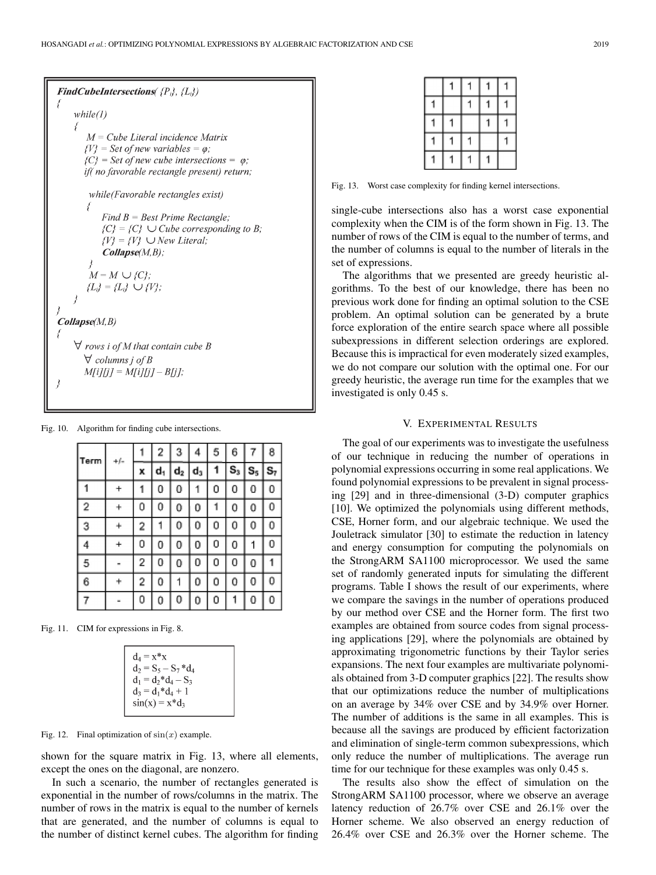| <b>FindCubeIntersections</b> ( $\{P_i\}$ , $\{L_i\}$ )                                                                                           |
|--------------------------------------------------------------------------------------------------------------------------------------------------|
| ł<br>while(1)                                                                                                                                    |
| ł<br>$M = Cube$ Literal incidence Matrix<br>$\{V\}$ = Set of new variables = $\varphi$ ;                                                         |
| $\{C\}$ = Set of new cube intersections = $\varphi$ ;<br>if(no favorable rectangle present) return;                                              |
| while(Favorable rectangles exist)                                                                                                                |
| Find $B = Best Prime Rectangle;$<br>$\{C\} = \{C\}$ $\cup$ Cube corresponding to B;<br>$\{V\} = \{V\} \cup New \ Literal;$<br>$Collapse(M, B)$ ; |
| $M = M \cup \{C\};$<br>$\{L_i\} = \{L_i\} \cup \{V\};$                                                                                           |
| $\bigg\}$                                                                                                                                        |
| Collapse(M, B)                                                                                                                                   |
| $\forall$ rows i of M that contain cube B<br>$\forall$ columns j of B                                                                            |
| $M[i][i] = M[i][i] - B[i];$                                                                                                                      |

Fig. 10. Algorithm for finding cube intersections.

| erm | $+/-$     |   | 2  | 3     | 4              | 5 | 6              |       | 8              |
|-----|-----------|---|----|-------|----------------|---|----------------|-------|----------------|
|     |           | x | d. | $d_2$ | $\mathbf{d}_3$ |   | $\mathbf{S}_3$ | $S_5$ | $\mathbf{S}_7$ |
|     | +         |   | 0  | 0     | 1              | 0 | 0              | 0     | 0              |
| 2   | +         | 0 | 0  | 0     | 0              | 1 | 0              | 0     | 0              |
| 3   |           | 2 |    | 0     | 0              | 0 | 0              | 0     | 0              |
| 4   | $\pmb{+}$ | 0 | 0  | 0     | 0              | 0 | 0              |       | 0              |
| 5   |           | 2 | 0  | 0     | 0              | 0 | 0              | 0     |                |
| 6   | +         | 2 | 0  |       | 0              | 0 | 0              | 0     | 0              |
| 7   |           | 0 | Ŏ  | 0     | 0              | 0 |                | 0     | 0              |

Fig. 11. CIM for expressions in Fig. 8.

| $d_4 = x^*x$            |
|-------------------------|
| $d_2 = S_5 - S_7 * d_4$ |
| $d_1 = d_2 * d_4 - S_3$ |
| $d_3 = d_1 * d_4 + 1$   |
| $sin(x) = x*d_3$        |
|                         |

Fig. 12. Final optimization of  $sin(x)$  example.

shown for the square matrix in Fig. 13, where all elements, except the ones on the diagonal, are nonzero.

In such a scenario, the number of rectangles generated is exponential in the number of rows/columns in the matrix. The number of rows in the matrix is equal to the number of kernels that are generated, and the number of columns is equal to the number of distinct kernel cubes. The algorithm for finding

|   | 1 | 1              | 1 | 1              |
|---|---|----------------|---|----------------|
| 1 |   | $\overline{1}$ | 1 | $\overline{1}$ |
| 4 | 1 |                |   |                |
| 1 | 1 | 1              |   |                |
| đ | 4 | ł              |   |                |

Fig. 13. Worst case complexity for finding kernel intersections.

single-cube intersections also has a worst case exponential complexity when the CIM is of the form shown in Fig. 13. The number of rows of the CIM is equal to the number of terms, and the number of columns is equal to the number of literals in the set of expressions.

The algorithms that we presented are greedy heuristic algorithms. To the best of our knowledge, there has been no previous work done for finding an optimal solution to the CSE problem. An optimal solution can be generated by a brute force exploration of the entire search space where all possible subexpressions in different selection orderings are explored. Because this is impractical for even moderately sized examples, we do not compare our solution with the optimal one. For our greedy heuristic, the average run time for the examples that we investigated is only 0.45 s.

#### V. EXPERIMENTAL RESULTS

The goal of our experiments was to investigate the usefulness of our technique in reducing the number of operations in polynomial expressions occurring in some real applications. We found polynomial expressions to be prevalent in signal processing [29] and in three-dimensional (3-D) computer graphics [10]. We optimized the polynomials using different methods, CSE, Horner form, and our algebraic technique. We used the Jouletrack simulator [30] to estimate the reduction in latency and energy consumption for computing the polynomials on the StrongARM SA1100 microprocessor. We used the same set of randomly generated inputs for simulating the different programs. Table I shows the result of our experiments, where we compare the savings in the number of operations produced by our method over CSE and the Horner form. The first two examples are obtained from source codes from signal processing applications [29], where the polynomials are obtained by approximating trigonometric functions by their Taylor series expansions. The next four examples are multivariate polynomials obtained from 3-D computer graphics [22]. The results show that our optimizations reduce the number of multiplications on an average by 34% over CSE and by 34.9% over Horner. The number of additions is the same in all examples. This is because all the savings are produced by efficient factorization and elimination of single-term common subexpressions, which only reduce the number of multiplications. The average run time for our technique for these examples was only 0.45 s.

The results also show the effect of simulation on the StrongARM SA1100 processor, where we observe an average latency reduction of 26.7% over CSE and 26.1% over the Horner scheme. We also observed an energy reduction of 26.4% over CSE and 26.3% over the Horner scheme. The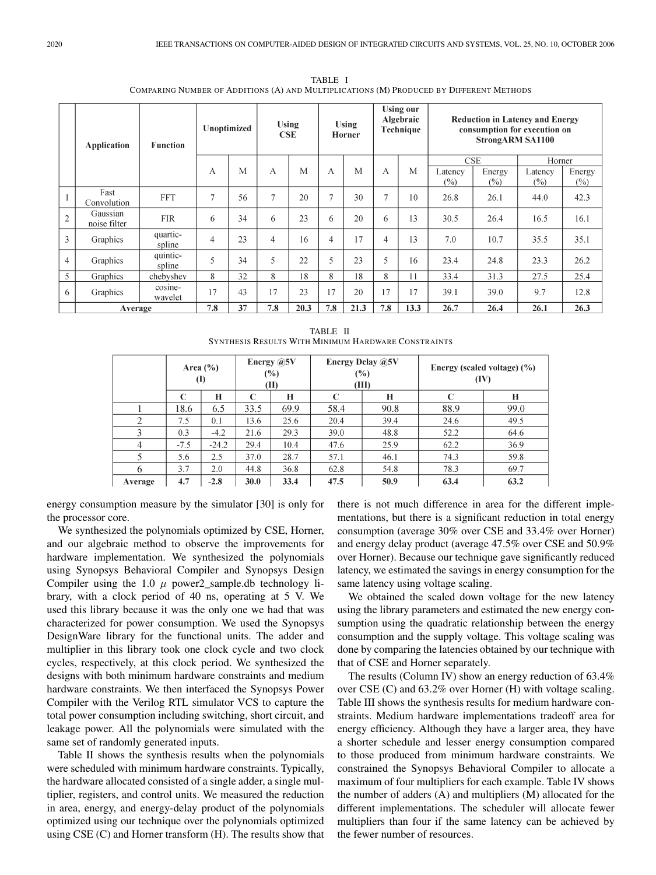TABLE I COMPARING NUMBER OF ADDITIONS (A) AND MULTIPLICATIONS (M) PRODUCED BY DIFFERENT METHODS

|                | Application              | <b>Function</b>    | Unoptimized |    |                | <b>Using</b><br>CSE |     | <b>Using</b><br><b>Horner</b> |                | <b>Using our</b><br><b>Algebraic</b><br>Technique |                | <b>Reduction in Latency and Energy</b><br>consumption for execution on<br><b>StrongARM SA1100</b> |                   |               |
|----------------|--------------------------|--------------------|-------------|----|----------------|---------------------|-----|-------------------------------|----------------|---------------------------------------------------|----------------|---------------------------------------------------------------------------------------------------|-------------------|---------------|
|                |                          |                    |             |    |                |                     |     |                               |                |                                                   |                | <b>CSE</b>                                                                                        | Horner            |               |
|                |                          |                    | А           | M  | А              | M                   | А   | M                             | А              | M                                                 | Latency<br>(%) | Energy<br>$(\%)$                                                                                  | Latency<br>$(\%)$ | Energy<br>(%) |
|                | Fast<br>Convolution      | <b>FFT</b>         | 7           | 56 | $\overline{7}$ | 20                  |     | 30                            |                | 10                                                | 26.8           | 26.1                                                                                              | 44.0              | 42.3          |
| $\overline{2}$ | Gaussian<br>noise filter | <b>FIR</b>         | 6           | 34 | 6              | 23                  | 6   | 20                            | 6              | 13                                                | 30.5           | 26.4                                                                                              | 16.5              | 16.1          |
| 3              | Graphics                 | quartic-<br>spline | 4           | 23 | $\overline{4}$ | 16                  | 4   | 17                            | 4              | 13                                                | 7.0            | 10.7                                                                                              | 35.5              | 35.1          |
| $\overline{4}$ | Graphics                 | quintic-<br>spline | 5           | 34 | 5              | 22                  | 5   | 23                            | 5              | 16                                                | 23.4           | 24.8                                                                                              | 23.3              | 26.2          |
| 5              | Graphics                 | chebyshev          | 8           | 32 | 8              | 18                  | 8   | 18                            | 8              | 11                                                | 33.4           | 31.3                                                                                              | 27.5              | 25.4          |
| 6              | Graphics                 | cosine-<br>wavelet | 17          | 43 | 17             | 23                  | 17  | 20                            | $\overline{7}$ | 17                                                | 39.1           | 39.0                                                                                              | 9.7               | 12.8          |
|                | Average                  |                    | 7.8         | 37 | 7.8            | 20.3                | 7.8 | 21.3                          | 7.8            | 13.3<br>26.7                                      |                | 26.4                                                                                              | 26.1              | 26.3          |

TABLE II SYNTHESIS RESULTS WITH MINIMUM HARDWARE CONSTRAINTS

|                | Area $(\% )$<br>$\rm _{(I)}$ |         |      | Energy @5V<br>(%)<br>(II) |              | <b>Energy Delay @5V</b><br>(%)<br>(III) |      | Energy (scaled voltage) (%)<br>(IV) |  |  |
|----------------|------------------------------|---------|------|---------------------------|--------------|-----------------------------------------|------|-------------------------------------|--|--|
|                | C                            | Н       | C    | H                         | C<br>Н       |                                         | C    | Н                                   |  |  |
|                | 18.6                         | 6.5     | 33.5 | 69.9                      | 58.4         | 90.8                                    | 88.9 | 99.0                                |  |  |
| $\overline{2}$ | 7.5                          | 0.1     | 13.6 | 25.6                      | 20.4         | 39.4                                    | 24.6 | 49.5                                |  |  |
| 3              | 0.3                          | $-4.2$  | 21.6 | 29.3                      | 39.0         | 48.8                                    | 52.2 | 64.6                                |  |  |
| 4              | $-7.5$                       | $-24.2$ | 29.4 | 10.4                      | 47.6         | 25.9                                    | 62.2 | 36.9                                |  |  |
| 5              | 5.6                          | 2.5     | 37.0 | 28.7                      | 57.1         | 46.1                                    | 74.3 | 59.8                                |  |  |
| 6              | 3.7<br>44.8<br>2.0<br>36.8   |         | 62.8 | 54.8                      | 78.3         | 69.7                                    |      |                                     |  |  |
| Average        | 4.7                          | $-2.8$  | 30.0 | 33.4                      | 50.9<br>47.5 |                                         | 63.4 | 63.2                                |  |  |

energy consumption measure by the simulator [30] is only for the processor core.

We synthesized the polynomials optimized by CSE, Horner, and our algebraic method to observe the improvements for hardware implementation. We synthesized the polynomials using Synopsys Behavioral Compiler and Synopsys Design Compiler using the 1.0  $\mu$  power2\_sample.db technology library, with a clock period of 40 ns, operating at 5 V. We used this library because it was the only one we had that was characterized for power consumption. We used the Synopsys DesignWare library for the functional units. The adder and multiplier in this library took one clock cycle and two clock cycles, respectively, at this clock period. We synthesized the designs with both minimum hardware constraints and medium hardware constraints. We then interfaced the Synopsys Power Compiler with the Verilog RTL simulator VCS to capture the total power consumption including switching, short circuit, and leakage power. All the polynomials were simulated with the same set of randomly generated inputs.

Table II shows the synthesis results when the polynomials were scheduled with minimum hardware constraints. Typically, the hardware allocated consisted of a single adder, a single multiplier, registers, and control units. We measured the reduction in area, energy, and energy-delay product of the polynomials optimized using our technique over the polynomials optimized using CSE (C) and Horner transform (H). The results show that

there is not much difference in area for the different implementations, but there is a significant reduction in total energy consumption (average 30% over CSE and 33.4% over Horner) and energy delay product (average 47.5% over CSE and 50.9% over Horner). Because our technique gave significantly reduced latency, we estimated the savings in energy consumption for the same latency using voltage scaling.

We obtained the scaled down voltage for the new latency using the library parameters and estimated the new energy consumption using the quadratic relationship between the energy consumption and the supply voltage. This voltage scaling was done by comparing the latencies obtained by our technique with that of CSE and Horner separately.

The results (Column IV) show an energy reduction of 63.4% over CSE (C) and 63.2% over Horner (H) with voltage scaling. Table III shows the synthesis results for medium hardware constraints. Medium hardware implementations tradeoff area for energy efficiency. Although they have a larger area, they have a shorter schedule and lesser energy consumption compared to those produced from minimum hardware constraints. We constrained the Synopsys Behavioral Compiler to allocate a maximum of four multipliers for each example. Table IV shows the number of adders (A) and multipliers (M) allocated for the different implementations. The scheduler will allocate fewer multipliers than four if the same latency can be achieved by the fewer number of resources.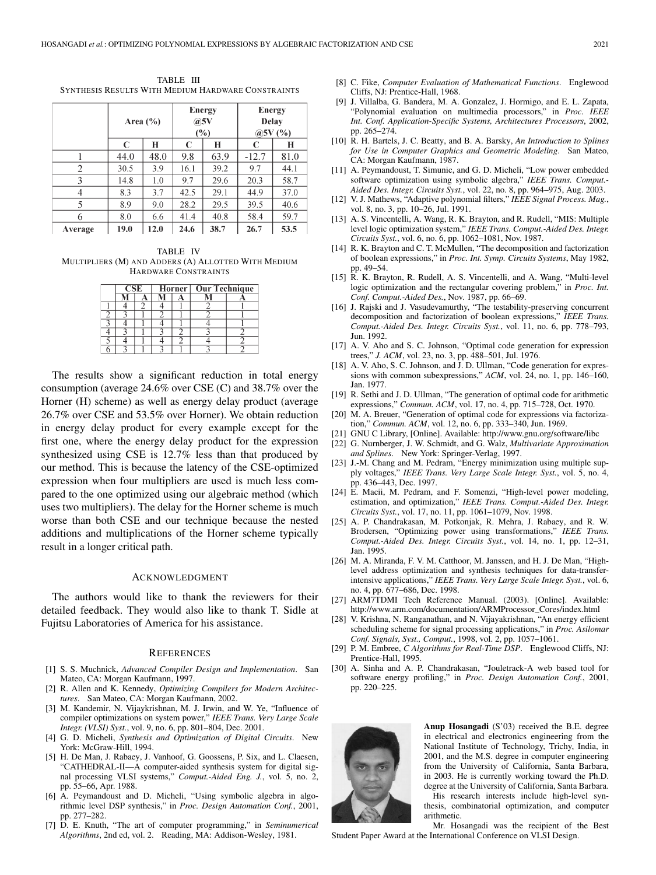TABLE III SYNTHESIS RESULTS WITH MEDIUM HARDWARE CONSTRAINTS

|         |                  | Area $(\% )$ |      | <b>Energy</b><br>@5V<br>(%) | <b>Energy</b><br><b>Delay</b><br>@5V(%) |      |  |
|---------|------------------|--------------|------|-----------------------------|-----------------------------------------|------|--|
|         | $\mathbf C$<br>Н |              | C    | H                           | C                                       | Н    |  |
|         | 44.0             | 48.0         | 9.8  | 63.9                        | $-12.7$                                 | 81.0 |  |
| 2       | 30.5             | 3.9          | 16.1 | 39.2                        | 9.7                                     | 44.1 |  |
| 3       | 14.8             | 1.0          | 9.7  | 29.6                        | 20.3                                    | 58.7 |  |
| 4       | 8.3              | 3.7          | 42.5 | 29.1                        | 44.9                                    | 37.0 |  |
| 5       | 8.9              | 9.0          |      | 29.5                        | 39.5                                    | 40.6 |  |
| 6       | 8.0<br>6.6       |              | 41.4 | 40.8                        | 58.4                                    | 59.7 |  |
| Average | 19.0             | 12.0         | 24.6 | 38.7                        | 26.7                                    | 53.5 |  |

TABLE IV MULTIPLIERS (M) AND ADDERS (A) ALLOTTED WITH MEDIUM HARDWARE CONSTRAINTS

| CSE |  |  | Horner   Our Technique |  |
|-----|--|--|------------------------|--|
|     |  |  |                        |  |
|     |  |  |                        |  |
|     |  |  |                        |  |
|     |  |  |                        |  |
|     |  |  |                        |  |
|     |  |  |                        |  |
|     |  |  |                        |  |

The results show a significant reduction in total energy consumption (average 24.6% over CSE (C) and 38.7% over the Horner (H) scheme) as well as energy delay product (average 26.7% over CSE and 53.5% over Horner). We obtain reduction in energy delay product for every example except for the first one, where the energy delay product for the expression synthesized using CSE is 12.7% less than that produced by our method. This is because the latency of the CSE-optimized expression when four multipliers are used is much less compared to the one optimized using our algebraic method (which uses two multipliers). The delay for the Horner scheme is much worse than both CSE and our technique because the nested additions and multiplications of the Horner scheme typically result in a longer critical path.

#### ACKNOWLEDGMENT

The authors would like to thank the reviewers for their detailed feedback. They would also like to thank T. Sidle at Fujitsu Laboratories of America for his assistance.

#### **REFERENCES**

- [1] S. S. Muchnick, *Advanced Compiler Design and Implementation*. San Mateo, CA: Morgan Kaufmann, 1997.
- [2] R. Allen and K. Kennedy, *Optimizing Compilers for Modern Architectures*. San Mateo, CA: Morgan Kaufmann, 2002.
- [3] M. Kandemir, N. Vijaykrishnan, M. J. Irwin, and W. Ye, "Influence of compiler optimizations on system power," *IEEE Trans. Very Large Scale Integr. (VLSI) Syst.*, vol. 9, no. 6, pp. 801–804, Dec. 2001.
- [4] G. D. Micheli, *Synthesis and Optimization of Digital Circuits*. New York: McGraw-Hill, 1994.
- [5] H. De Man, J. Rabaey, J. Vanhoof, G. Goossens, P. Six, and L. Claesen, "CATHEDRAL-II—A computer-aided synthesis system for digital signal processing VLSI systems," *Comput.-Aided Eng. J.*, vol. 5, no. 2, pp. 55–66, Apr. 1988.
- [6] A. Peymandoust and D. Micheli, "Using symbolic algebra in algorithmic level DSP synthesis," in *Proc. Design Automation Conf.*, 2001, pp. 277–282.
- [7] D. E. Knuth, "The art of computer programming," in *Seminumerical Algorithms*, 2nd ed, vol. 2. Reading, MA: Addison-Wesley, 1981.
- [8] C. Fike, *Computer Evaluation of Mathematical Functions*. Englewood Cliffs, NJ: Prentice-Hall, 1968.
- [9] J. Villalba, G. Bandera, M. A. Gonzalez, J. Hormigo, and E. L. Zapata, "Polynomial evaluation on multimedia processors," in *Proc. IEEE Int. Conf. Application-Specific Systems, Architectures Processors*, 2002, pp. 265–274.
- [10] R. H. Bartels, J. C. Beatty, and B. A. Barsky, *An Introduction to Splines for Use in Computer Graphics and Geometric Modeling*. San Mateo, CA: Morgan Kaufmann, 1987.
- [11] A. Peymandoust, T. Simunic, and G. D. Micheli, "Low power embedded software optimization using symbolic algebra," *IEEE Trans. Comput.- Aided Des. Integr. Circuits Syst.*, vol. 22, no. 8, pp. 964–975, Aug. 2003.
- [12] V. J. Mathews, "Adaptive polynomial filters," *IEEE Signal Process. Mag.*, vol. 8, no. 3, pp. 10–26, Jul. 1991.
- [13] A. S. Vincentelli, A. Wang, R. K. Brayton, and R. Rudell, "MIS: Multiple level logic optimization system," *IEEE Trans. Comput.-Aided Des. Integr. Circuits Syst.*, vol. 6, no. 6, pp. 1062–1081, Nov. 1987.
- [14] R. K. Brayton and C. T. McMullen, "The decomposition and factorization of boolean expressions," in *Proc. Int. Symp. Circuits Systems*, May 1982, pp. 49–54.
- [15] R. K. Brayton, R. Rudell, A. S. Vincentelli, and A. Wang, "Multi-level logic optimization and the rectangular covering problem," in *Proc. Int. Conf. Comput.-Aided Des.*, Nov. 1987, pp. 66–69.
- [16] J. Rajski and J. Vasudevamurthy, "The testability-preserving concurrent decomposition and factorization of boolean expressions," *IEEE Trans. Comput.-Aided Des. Integr. Circuits Syst.*, vol. 11, no. 6, pp. 778–793, Jun. 1992.
- [17] A. V. Aho and S. C. Johnson, "Optimal code generation for expression trees," *J. ACM*, vol. 23, no. 3, pp. 488–501, Jul. 1976.
- [18] A. V. Aho, S. C. Johnson, and J. D. Ullman, "Code generation for expressions with common subexpressions," *ACM*, vol. 24, no. 1, pp. 146–160, Jan. 1977.
- [19] R. Sethi and J. D. Ullman, "The generation of optimal code for arithmetic expressions," *Commun. ACM*, vol. 17, no. 4, pp. 715–728, Oct. 1970.
- [20] M. A. Breuer, "Generation of optimal code for expressions via factorization," *Commun. ACM*, vol. 12, no. 6, pp. 333–340, Jun. 1969.
- [21] GNU C Library, [Online]. Available: http://www.gnu.org/software/libc
- [22] G. Nurnberger, J. W. Schmidt, and G. Walz, *Multivariate Approximation and Splines*. New York: Springer-Verlag, 1997.
- [23] J.-M. Chang and M. Pedram, "Energy minimization using multiple supply voltages," *IEEE Trans. Very Large Scale Integr. Syst.*, vol. 5, no. 4, pp. 436–443, Dec. 1997.
- [24] E. Macii, M. Pedram, and F. Somenzi, "High-level power modeling, estimation, and optimization," *IEEE Trans. Comput.-Aided Des. Integr. Circuits Syst.*, vol. 17, no. 11, pp. 1061–1079, Nov. 1998.
- [25] A. P. Chandrakasan, M. Potkonjak, R. Mehra, J. Rabaey, and R. W. Brodersen, "Optimizing power using transformations," *IEEE Trans. Comput.-Aided Des. Integr. Circuits Syst.*, vol. 14, no. 1, pp. 12–31, Jan. 1995.
- [26] M. A. Miranda, F. V. M. Catthoor, M. Janssen, and H. J. De Man, "Highlevel address optimization and synthesis techniques for data-transferintensive applications," *IEEE Trans. Very Large Scale Integr. Syst.*, vol. 6, no. 4, pp. 677–686, Dec. 1998.
- [27] ARM7TDMI Tech Reference Manual. (2003). [Online]. Available: http://www.arm.com/documentation/ARMProcessor\_Cores/index.html
- [28] V. Krishna, N. Ranganathan, and N. Vijayakrishnan, "An energy efficient scheduling scheme for signal processing applications," in *Proc. Asilomar Conf. Signals, Syst., Comput.*, 1998, vol. 2, pp. 1057–1061.
- [29] P. M. Embree, *C Algorithms for Real-Time DSP*. Englewood Cliffs, NJ: Prentice-Hall, 1995.
- [30] A. Sinha and A. P. Chandrakasan, "Jouletrack-A web based tool for software energy profiling," in *Proc. Design Automation Conf.*, 2001, pp. 220–225.



**Anup Hosangadi** (S'03) received the B.E. degree in electrical and electronics engineering from the National Institute of Technology, Trichy, India, in 2001, and the M.S. degree in computer engineering from the University of California, Santa Barbara, in 2003. He is currently working toward the Ph.D. degree at the University of California, Santa Barbara.

His research interests include high-level synthesis, combinatorial optimization, and computer arithmetic.

Mr. Hosangadi was the recipient of the Best Student Paper Award at the International Conference on VLSI Design.